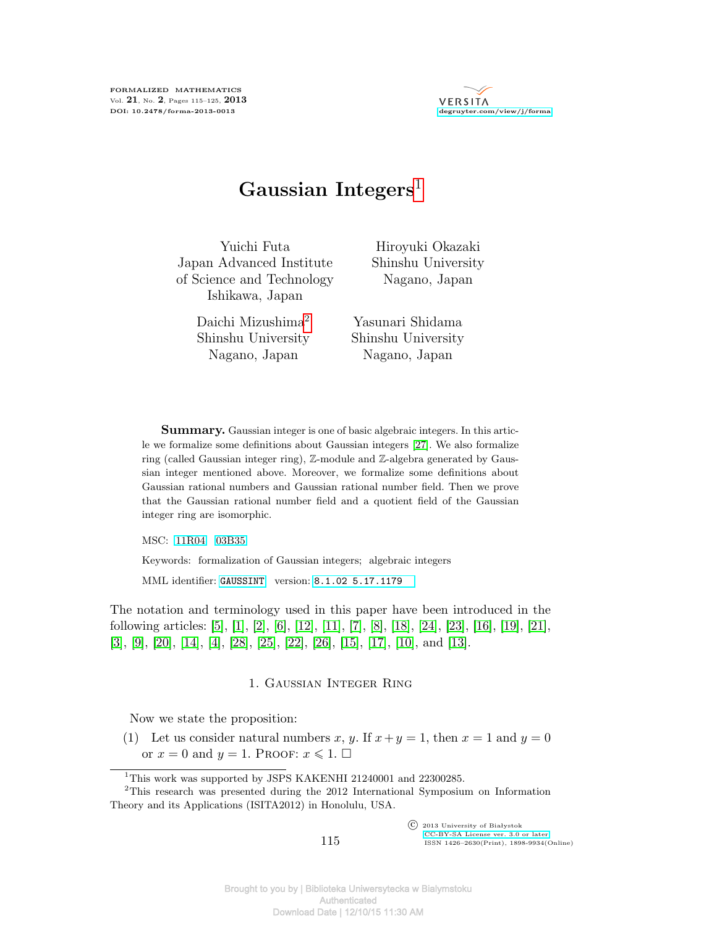

# **Gaussian Integers**1

Yuichi Futa Japan Advanced Institute of Science and Technology Ishikawa, Japan

> Daichi Mizushima2 Shinshu University Nagano, Japan

Hiroyuki Okazaki Shinshu University Nagano, Japan

Yasunari Shidama Shinshu University Nagano, Japan

**Summary.** Gaussian integer is one of basic algebraic integers. In this article we formalize some definitions about Gaussian integers [27]. We also formalize ring (called Gaussian integer ring), Z-module and Z-algebra generated by Gaussian integer mentioned above. Moreover, we formalize some definitions about Gaussian rational numbers and Gaussian rational number field. Then we prove that the Gaussian rational number field and a quotient field of the Gaussian integer ring are isomorphic.

MSC: [11R04](http://zbmath.org/classification/?q=cc:11R04) [03B35](http://zbmath.org/classification/?q=cc:03B35)

Keywords: formalization of Gaussian integers; algebraic integers

MML identifier: [GAUSSINT](http://fm.mizar.org/miz/gaussint.miz), version: [8.1.02 5.17.1179](http://ftp.mizar.org/)

The notation and terminology used in this paper have been introduced in the following articles: [5], [1], [2], [6], [12], [11], [7], [8], [18], [24], [23], [16], [19], [21],  $[3], [9], [20], [14], [4], [28], [25], [22], [26], [15], [17], [10], \text{and } [13].$ 

### 1. Gaussian Integer Ring

Now we state the proposition:

(1) Let us consider natural numbers x, y. If  $x + y = 1$ , then  $x = 1$  and  $y = 0$ or  $x = 0$  and  $y = 1$ . Proof:  $x \le 1$ .  $\Box$ 

 c 2013 University of Białystok [CC-BY-SA License ver. 3.0 or later](http://creativecommons.org/licenses/by-sa/3.0/) ISSN 1426–2630(Print), 1898-9934(Online)

<sup>&</sup>lt;sup>1</sup>This work was supported by JSPS KAKENHI 21240001 and 22300285.

<sup>2</sup>This research was presented during the 2012 International Symposium on Information Theory and its Applications (ISITA2012) in Honolulu, USA.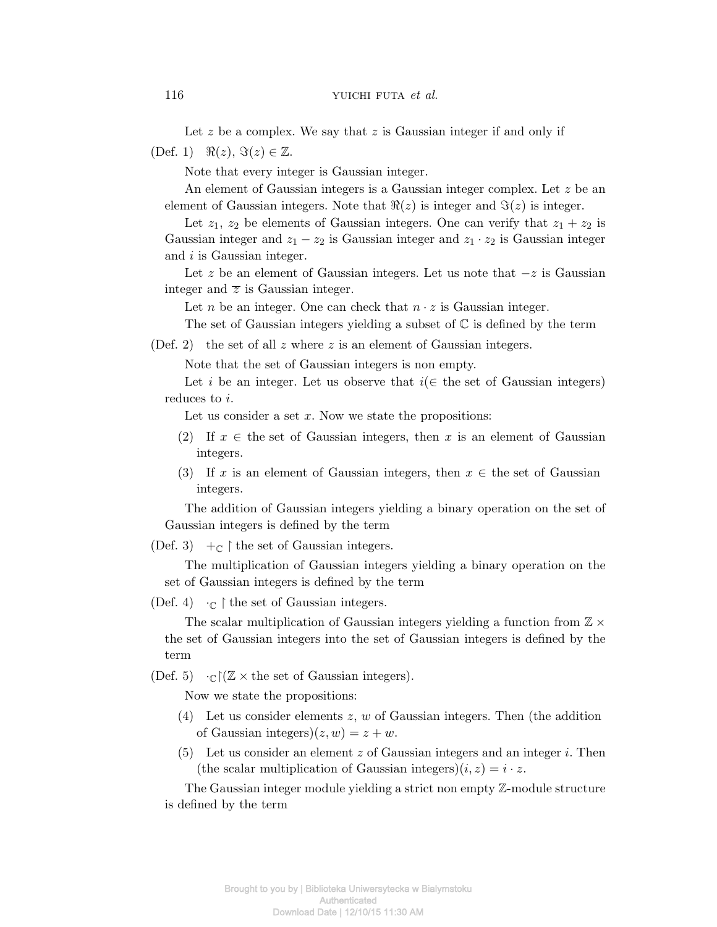Let *z* be a complex. We say that *z* is Gaussian integer if and only if

 $(Def. 1)$   $\Re(z), \Im(z) \in \mathbb{Z}$ .

Note that every integer is Gaussian integer.

An element of Gaussian integers is a Gaussian integer complex. Let *z* be an element of Gaussian integers. Note that  $\Re(z)$  is integer and  $\Im(z)$  is integer.

Let  $z_1$ ,  $z_2$  be elements of Gaussian integers. One can verify that  $z_1 + z_2$  is Gaussian integer and  $z_1 - z_2$  is Gaussian integer and  $z_1 \cdot z_2$  is Gaussian integer and *i* is Gaussian integer.

Let *z* be an element of Gaussian integers. Let us note that *−z* is Gaussian integer and  $\overline{z}$  is Gaussian integer.

Let *n* be an integer. One can check that  $n \cdot z$  is Gaussian integer.

The set of Gaussian integers yielding a subset of  $\mathbb C$  is defined by the term

(Def. 2) the set of all *z* where *z* is an element of Gaussian integers.

Note that the set of Gaussian integers is non empty.

Let *i* be an integer. Let us observe that  $i \in \mathcal{I}$  the set of Gaussian integers) reduces to *i*.

Let us consider a set x. Now we state the propositions:

- (2) If  $x \in$  the set of Gaussian integers, then x is an element of Gaussian integers.
- (3) If *x* is an element of Gaussian integers, then  $x \in$  the set of Gaussian integers.

The addition of Gaussian integers yielding a binary operation on the set of Gaussian integers is defined by the term

(Def. 3)  $+\mathbb{C}$  | the set of Gaussian integers.

The multiplication of Gaussian integers yielding a binary operation on the set of Gaussian integers is defined by the term

(Def. 4)  $\cdot_{\mathbb{C}}$  | the set of Gaussian integers.

The scalar multiplication of Gaussian integers yielding a function from Z *×* the set of Gaussian integers into the set of Gaussian integers is defined by the term

(Def. 5)  $\cdot_{\mathbb{C}}$   $(\mathbb{Z} \times \text{the set of Gaussian integers}).$ 

Now we state the propositions:

- (4) Let us consider elements *z*, *w* of Gaussian integers. Then (the addition of Gaussian integers) $(z, w) = z + w$ .
- (5) Let us consider an element *z* of Gaussian integers and an integer *i*. Then (the scalar multiplication of Gaussian integers) $(i, z) = i \cdot z$ .

The Gaussian integer module yielding a strict non empty Z-module structure is defined by the term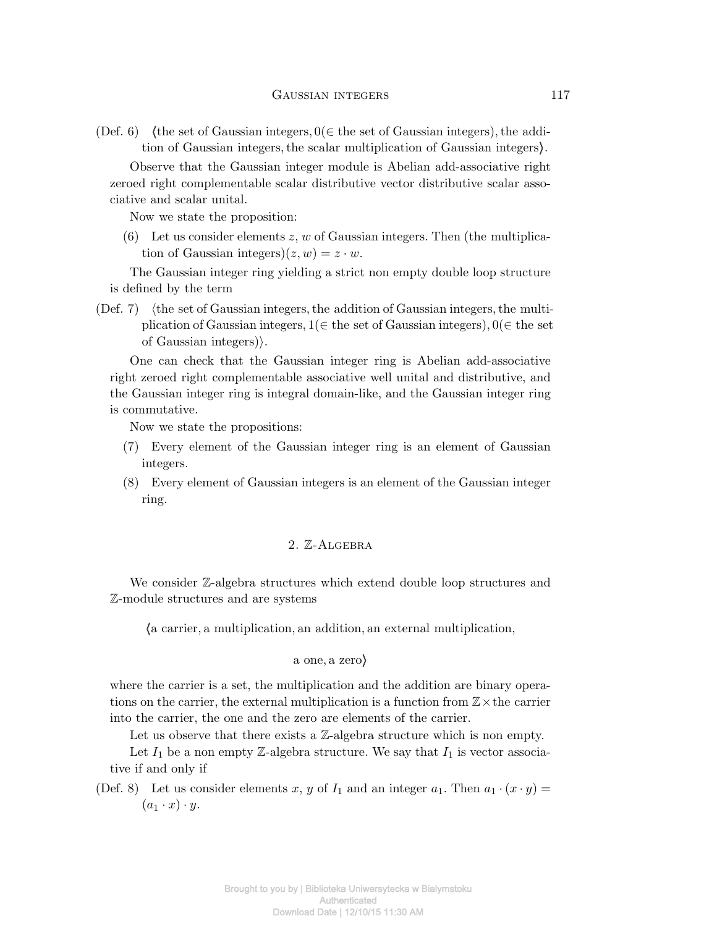(Def. 6) (the set of Gaussian integers,  $0 \in \mathbb{R}$  be set of Gaussian integers), the addition of Gaussian integers*,*the scalar multiplication of Gaussian integers*i*.

Observe that the Gaussian integer module is Abelian add-associative right zeroed right complementable scalar distributive vector distributive scalar associative and scalar unital.

Now we state the proposition:

(6) Let us consider elements *z*, *w* of Gaussian integers. Then (the multiplication of Gaussian integers) $(z, w) = z \cdot w$ .

The Gaussian integer ring yielding a strict non empty double loop structure is defined by the term

(Def. 7) (the set of Gaussian integers, the addition of Gaussian integers, the multiplication of Gaussian integers*,* 1(*∈* the set of Gaussian integers)*,* 0(*∈* the set of Gaussian integers)*i*.

One can check that the Gaussian integer ring is Abelian add-associative right zeroed right complementable associative well unital and distributive, and the Gaussian integer ring is integral domain-like, and the Gaussian integer ring is commutative.

Now we state the propositions:

- (7) Every element of the Gaussian integer ring is an element of Gaussian integers.
- (8) Every element of Gaussian integers is an element of the Gaussian integer ring.

## 2. Z-Algebra

We consider Z-algebra structures which extend double loop structures and Z-module structures and are systems

*h*a carrier*,* a multiplication*,* an addition*,* an external multiplication*,*

#### a one*,* a zero*i*

where the carrier is a set, the multiplication and the addition are binary operations on the carrier, the external multiplication is a function from Z*×*the carrier into the carrier, the one and the zero are elements of the carrier.

Let us observe that there exists a  $\mathbb{Z}$ -algebra structure which is non empty.

Let  $I_1$  be a non empty Z-algebra structure. We say that  $I_1$  is vector associative if and only if

(Def. 8) Let us consider elements *x*, *y* of  $I_1$  and an integer  $a_1$ . Then  $a_1 \cdot (x \cdot y) =$  $(a_1 \cdot x) \cdot y$ .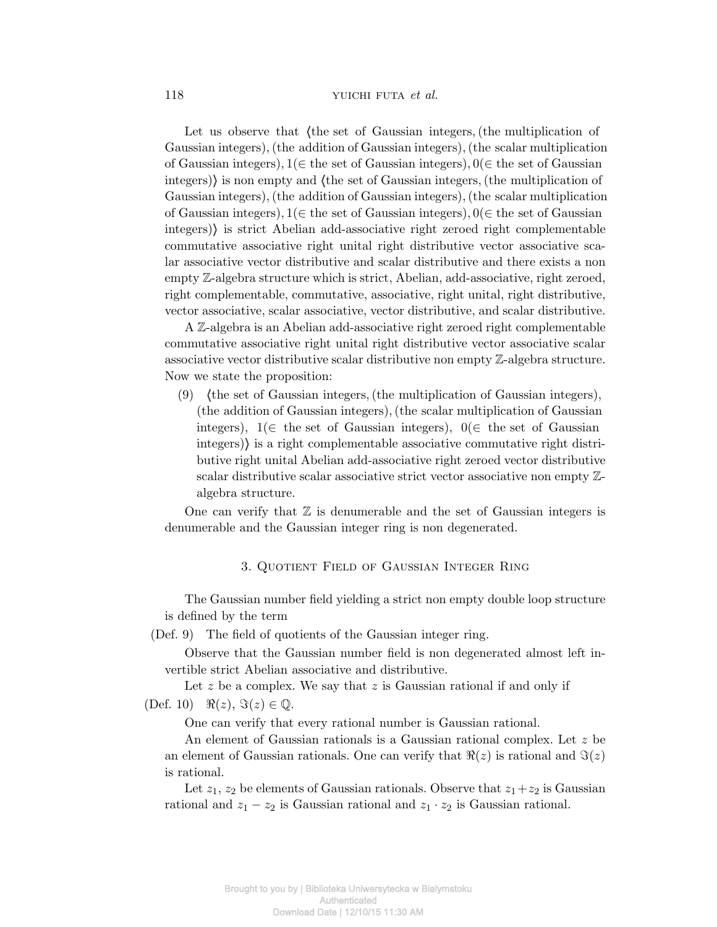### 118 YUICHI FUTA *et al.*

Let us observe that *(the set of Gaussian integers, (the multiplication of* Gaussian integers)*,*(the addition of Gaussian integers)*,*(the scalar multiplication of Gaussian integers)*,* 1(*∈* the set of Gaussian integers)*,* 0(*∈* the set of Gaussian integers)) is non empty and (the set of Gaussian integers, (the multiplication of Gaussian integers)*,*(the addition of Gaussian integers)*,*(the scalar multiplication of Gaussian integers)*,* 1(*∈* the set of Gaussian integers)*,* 0(*∈* the set of Gaussian integers)*i* is strict Abelian add-associative right zeroed right complementable commutative associative right unital right distributive vector associative scalar associative vector distributive and scalar distributive and there exists a non empty Z-algebra structure which is strict, Abelian, add-associative, right zeroed, right complementable, commutative, associative, right unital, right distributive, vector associative, scalar associative, vector distributive, and scalar distributive.

A Z-algebra is an Abelian add-associative right zeroed right complementable commutative associative right unital right distributive vector associative scalar associative vector distributive scalar distributive non empty Z-algebra structure. Now we state the proposition:

(9) *h*the set of Gaussian integers*,*(the multiplication of Gaussian integers)*,* (the addition of Gaussian integers)*,*(the scalar multiplication of Gaussian integers),  $1 \in \mathbb{R}$  the set of Gaussian integers),  $0 \in \mathbb{R}$  be set of Gaussian integers)) is a right complementable associative commutative right distributive right unital Abelian add-associative right zeroed vector distributive scalar distributive scalar associative strict vector associative non empty Zalgebra structure.

One can verify that  $\mathbb Z$  is denumerable and the set of Gaussian integers is denumerable and the Gaussian integer ring is non degenerated.

# 3. Quotient Field of Gaussian Integer Ring

The Gaussian number field yielding a strict non empty double loop structure is defined by the term

(Def. 9) The field of quotients of the Gaussian integer ring.

Observe that the Gaussian number field is non degenerated almost left invertible strict Abelian associative and distributive.

Let *z* be a complex. We say that *z* is Gaussian rational if and only if  $(Def. 10)$   $\Re(z), \Im(z) \in \mathbb{Q}.$ 

One can verify that every rational number is Gaussian rational.

An element of Gaussian rationals is a Gaussian rational complex. Let *z* be an element of Gaussian rationals. One can verify that  $\Re(z)$  is rational and  $\Im(z)$ is rational.

Let  $z_1, z_2$  be elements of Gaussian rationals. Observe that  $z_1 + z_2$  is Gaussian rational and  $z_1 - z_2$  is Gaussian rational and  $z_1 \cdot z_2$  is Gaussian rational.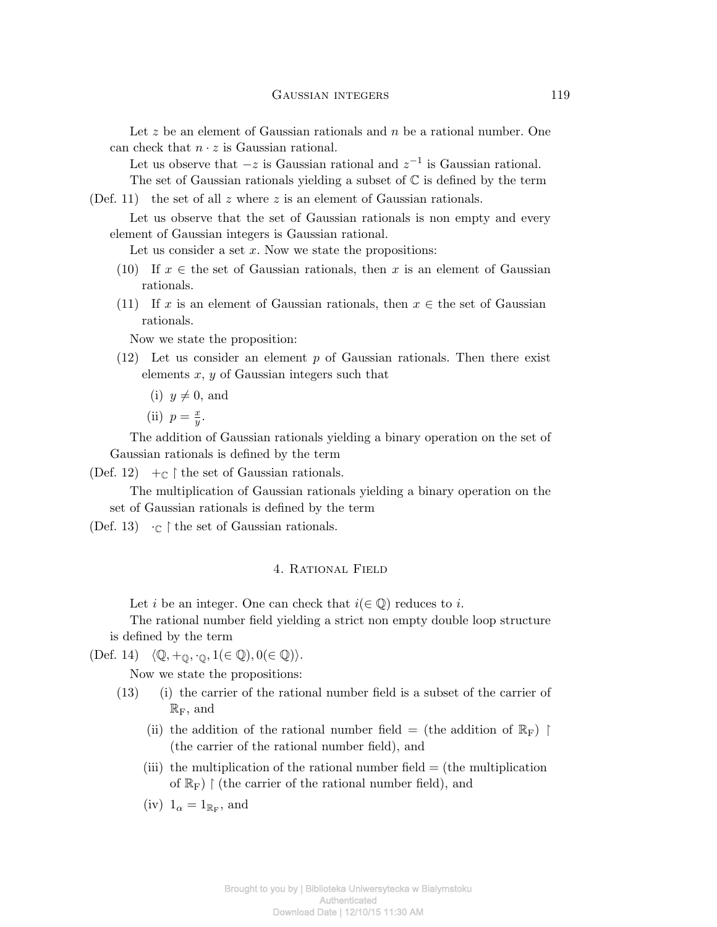Let z be an element of Gaussian rationals and *n* be a rational number. One can check that  $n \cdot z$  is Gaussian rational.

Let us observe that *−z* is Gaussian rational and *z −*1 is Gaussian rational.

The set of Gaussian rationals yielding a subset of  $\mathbb C$  is defined by the term

(Def. 11) the set of all *z* where *z* is an element of Gaussian rationals.

Let us observe that the set of Gaussian rationals is non empty and every element of Gaussian integers is Gaussian rational.

Let us consider a set x. Now we state the propositions:

- (10) If  $x \in$  the set of Gaussian rationals, then x is an element of Gaussian rationals.
- (11) If *x* is an element of Gaussian rationals, then  $x \in$  the set of Gaussian rationals.

Now we state the proposition:

- (12) Let us consider an element *p* of Gaussian rationals. Then there exist elements *x*, *y* of Gaussian integers such that
	- $(i)$   $y \neq 0$ , and
	- $(iii)$   $p = \frac{x}{y}$  $\frac{x}{y}$ .

The addition of Gaussian rationals yielding a binary operation on the set of Gaussian rationals is defined by the term

(Def. 12)  $\pm_{\mathbb{C}} \upharpoonright$  the set of Gaussian rationals.

The multiplication of Gaussian rationals yielding a binary operation on the set of Gaussian rationals is defined by the term

(Def. 13)  $\cdot_{\mathbb{C}} \upharpoonright$  the set of Gaussian rationals.

# 4. Rational Field

Let *i* be an integer. One can check that  $i \in \mathbb{Q}$  reduces to *i*.

The rational number field yielding a strict non empty double loop structure is defined by the term

 $\langle$ Q $\rangle$ *+*<sub>Q</sub>,  $\cdot$ <sub>Q</sub>, 1( $\in$  Q)*,* 0( $\in$  Q) $\rangle$ .

Now we state the propositions:

- (13) (i) the carrier of the rational number field is a subset of the carrier of  $\mathbb{R}_{\mathrm{F}}$ , and
	- (ii) the addition of the rational number field = (the addition of  $\mathbb{R}_{\mathrm{F}}$ ) f (the carrier of the rational number field), and
	- (iii) the multiplication of the rational number field = (the multiplication of  $\mathbb{R}_{\mathrm{F}}$ )  $\restriction$  (the carrier of the rational number field), and
	- (iv)  $1_{\alpha} = 1_{\mathbb{R}_{\mathrm{F}}},$  and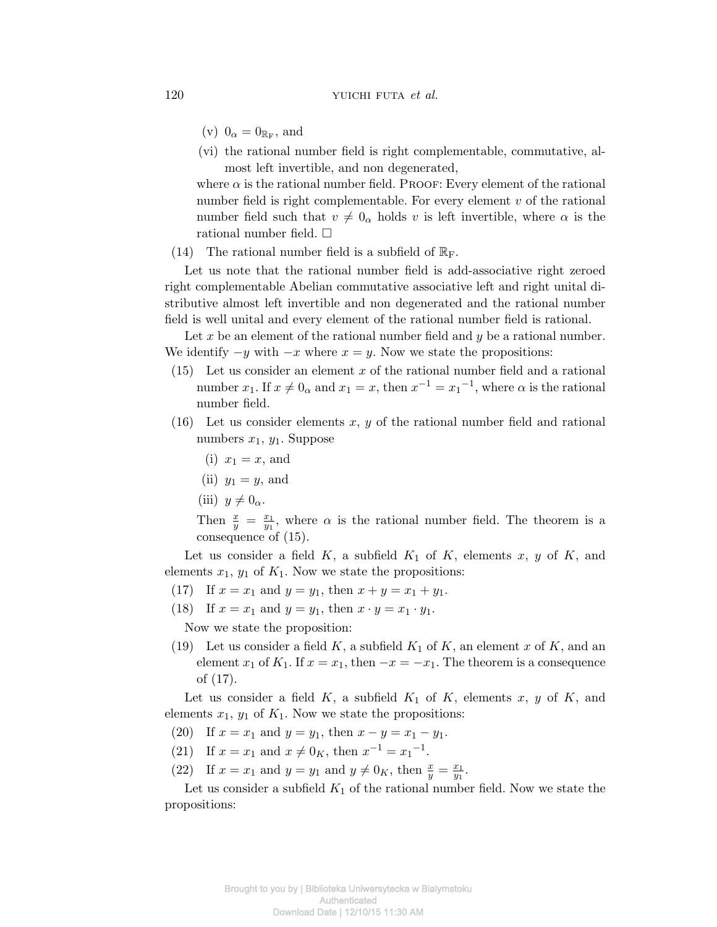- (v)  $0_{\alpha} = 0_{\mathbb{R}_{\mathrm{F}}},$  and
- (vi) the rational number field is right complementable, commutative, almost left invertible, and non degenerated,

where  $\alpha$  is the rational number field. PROOF: Every element of the rational number field is right complementable. For every element *v* of the rational number field such that  $v \neq 0_\alpha$  holds *v* is left invertible, where  $\alpha$  is the rational number field.  $\square$ 

(14) The rational number field is a subfield of  $\mathbb{R}_F$ .

Let us note that the rational number field is add-associative right zeroed right complementable Abelian commutative associative left and right unital distributive almost left invertible and non degenerated and the rational number field is well unital and every element of the rational number field is rational.

Let x be an element of the rational number field and y be a rational number. We identify  $-y$  with  $-x$  where  $x = y$ . Now we state the propositions:

- (15) Let us consider an element *x* of the rational number field and a rational number  $x_1$ . If  $x \neq 0_\alpha$  and  $x_1 = x$ , then  $x^{-1} = x_1^{-1}$ , where  $\alpha$  is the rational number field.
- (16) Let us consider elements *x*, *y* of the rational number field and rational numbers  $x_1, y_1$ . Suppose
	- (i)  $x_1 = x$ , and
	- (ii)  $y_1 = y$ , and
	- (iii)  $y \neq 0_\alpha$ .

Then  $\frac{x}{y} = \frac{x_1}{y_1}$  $\frac{x_1}{y_1}$ , where  $\alpha$  is the rational number field. The theorem is a consequence of (15).

Let us consider a field  $K$ , a subfield  $K_1$  of  $K$ , elements  $x, y$  of  $K$ , and elements  $x_1$ ,  $y_1$  of  $K_1$ . Now we state the propositions:

- (17) If  $x = x_1$  and  $y = y_1$ , then  $x + y = x_1 + y_1$ .
- (18) If  $x = x_1$  and  $y = y_1$ , then  $x \cdot y = x_1 \cdot y_1$ .

Now we state the proposition:

(19) Let us consider a field  $K$ , a subfield  $K_1$  of  $K$ , an element  $x$  of  $K$ , and an element  $x_1$  of  $K_1$ . If  $x = x_1$ , then  $-x = -x_1$ . The theorem is a consequence of (17).

Let us consider a field  $K$ , a subfield  $K_1$  of  $K$ , elements  $x, y$  of  $K$ , and elements  $x_1$ ,  $y_1$  of  $K_1$ . Now we state the propositions:

- (20) If  $x = x_1$  and  $y = y_1$ , then  $x y = x_1 y_1$ .
- (21) If  $x = x_1$  and  $x \neq 0_K$ , then  $x^{-1} = x_1^{-1}$ .
- (22) If  $x = x_1$  and  $y = y_1$  and  $y \neq 0_K$ , then  $\frac{x}{y} = \frac{x_1}{y_1}$  $\frac{x_1}{y_1}$ .

Let us consider a subfield  $K_1$  of the rational number field. Now we state the propositions: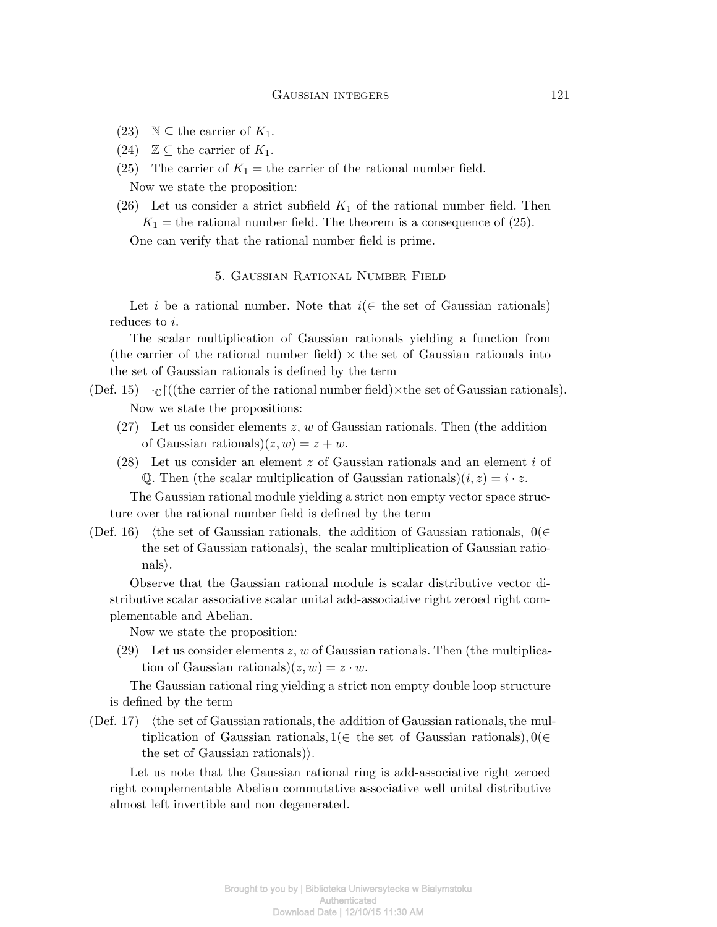- (23)  $\mathbb{N} \subseteq$  the carrier of  $K_1$ .
- (24)  $\mathbb{Z} \subseteq$  the carrier of  $K_1$ .
- (25) The carrier of  $K_1$  = the carrier of the rational number field. Now we state the proposition:
- (26) Let us consider a strict subfield  $K_1$  of the rational number field. Then  $K_1$  = the rational number field. The theorem is a consequence of (25).

One can verify that the rational number field is prime.

## 5. Gaussian Rational Number Field

Let *i* be a rational number. Note that  $i \in \mathbb{R}$  the set of Gaussian rationals) reduces to *i*.

The scalar multiplication of Gaussian rationals yielding a function from (the carrier of the rational number field)  $\times$  the set of Gaussian rationals into the set of Gaussian rationals is defined by the term

- (Def. 15)  $\cdot_{\mathbb{C}}$   $\uparrow$  ((the carrier of the rational number field)  $\times$  the set of Gaussian rationals). Now we state the propositions:
	- (27) Let us consider elements *z*, *w* of Gaussian rationals. Then (the addition of Gaussian rationals) $(z, w) = z + w$ .
	- (28) Let us consider an element *z* of Gaussian rationals and an element *i* of Q. Then (the scalar multiplication of Gaussian rationals) $(i, z) = i \cdot z$ .

The Gaussian rational module yielding a strict non empty vector space structure over the rational number field is defined by the term

(Def. 16) *h*the set of Gaussian rationals*,* the addition of Gaussian rationals*,* 0(*∈* the set of Gaussian rationals)*,* the scalar multiplication of Gaussian rationals*i*.

Observe that the Gaussian rational module is scalar distributive vector distributive scalar associative scalar unital add-associative right zeroed right complementable and Abelian.

Now we state the proposition:

(29) Let us consider elements *z*, *w* of Gaussian rationals. Then (the multiplication of Gaussian rationals) $(z, w) = z \cdot w$ .

The Gaussian rational ring yielding a strict non empty double loop structure is defined by the term

(Def. 17) *h*the set of Gaussian rationals*,*the addition of Gaussian rationals*,*the multiplication of Gaussian rationals*,* 1(*∈* the set of Gaussian rationals)*,* 0(*∈* the set of Gaussian rationals).

Let us note that the Gaussian rational ring is add-associative right zeroed right complementable Abelian commutative associative well unital distributive almost left invertible and non degenerated.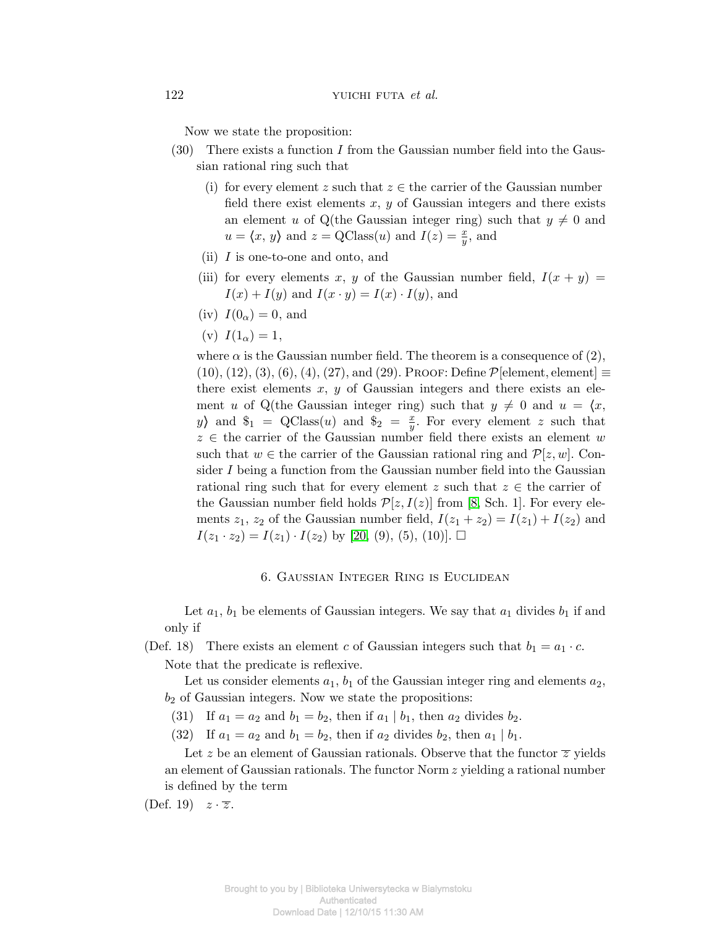Now we state the proposition:

- (30) There exists a function *I* from the Gaussian number field into the Gaussian rational ring such that
	- (i) for every element *z* such that  $z \in$  the carrier of the Gaussian number field there exist elements *x*, *y* of Gaussian integers and there exists an element *u* of Q(the Gaussian integer ring) such that  $y \neq 0$  and  $u = \langle x, y \rangle$  and  $z = \text{QClass}(u)$  and  $I(z) = \frac{x}{y}$ , and
	- (ii) *I* is one-to-one and onto, and
	- (iii) for every elements x, y of the Gaussian number field,  $I(x + y) =$  $I(x) + I(y)$  and  $I(x \cdot y) = I(x) \cdot I(y)$ , and
	- (iv)  $I(0_\alpha) = 0$ , and
	- (v)  $I(1_\alpha) = 1$ ,

where  $\alpha$  is the Gaussian number field. The theorem is a consequence of (2),  $(10), (12), (3), (6), (4), (27),$  and  $(29)$ . Proof: Define  $P$ [element, element]  $\equiv$ there exist elements  $x, y$  of Gaussian integers and there exists an element *u* of Q(the Gaussian integer ring) such that  $y \neq 0$  and  $u = \langle x, \rangle$ *yj* and  $\$_{1}$  = QClass(*u*) and  $\$_{2}$  =  $\frac{x}{y}$  $\frac{x}{y}$ . For every element *z* such that *z ∈* the carrier of the Gaussian number field there exists an element *w* such that  $w \in$  the carrier of the Gaussian rational ring and  $\mathcal{P}[z, w]$ . Consider *I* being a function from the Gaussian number field into the Gaussian rational ring such that for every element  $z$  such that  $z \in \mathbb{R}$  the carrier of the Gaussian number field holds  $\mathcal{P}[z, I(z)]$  from [8, Sch. 1]. For every elements  $z_1$ ,  $z_2$  of the Gaussian number field,  $I(z_1 + z_2) = I(z_1) + I(z_2)$  and  $I(z_1 \cdot z_2) = I(z_1) \cdot I(z_2)$  by [20, (9), (5), (10)].  $\Box$ 

#### 6. Gaussian Integer Ring is Euclidean

Let  $a_1$ ,  $b_1$  be elements of Gaussian integers. We say that  $a_1$  divides  $b_1$  if and only if

(Def. 18) There exists an element *c* of Gaussian integers such that  $b_1 = a_1 \cdot c$ .

Note that the predicate is reflexive.

Let us consider elements  $a_1$ ,  $b_1$  of the Gaussian integer ring and elements  $a_2$ , *b*<sup>2</sup> of Gaussian integers. Now we state the propositions:

- (31) If  $a_1 = a_2$  and  $b_1 = b_2$ , then if  $a_1 | b_1$ , then  $a_2$  divides  $b_2$ .
- (32) If  $a_1 = a_2$  and  $b_1 = b_2$ , then if  $a_2$  divides  $b_2$ , then  $a_1 | b_1$ .

Let z be an element of Gaussian rationals. Observe that the functor  $\overline{z}$  yields an element of Gaussian rationals. The functor Norm *z* yielding a rational number is defined by the term

 $(Def. 19)$   $z \cdot \overline{z}$ .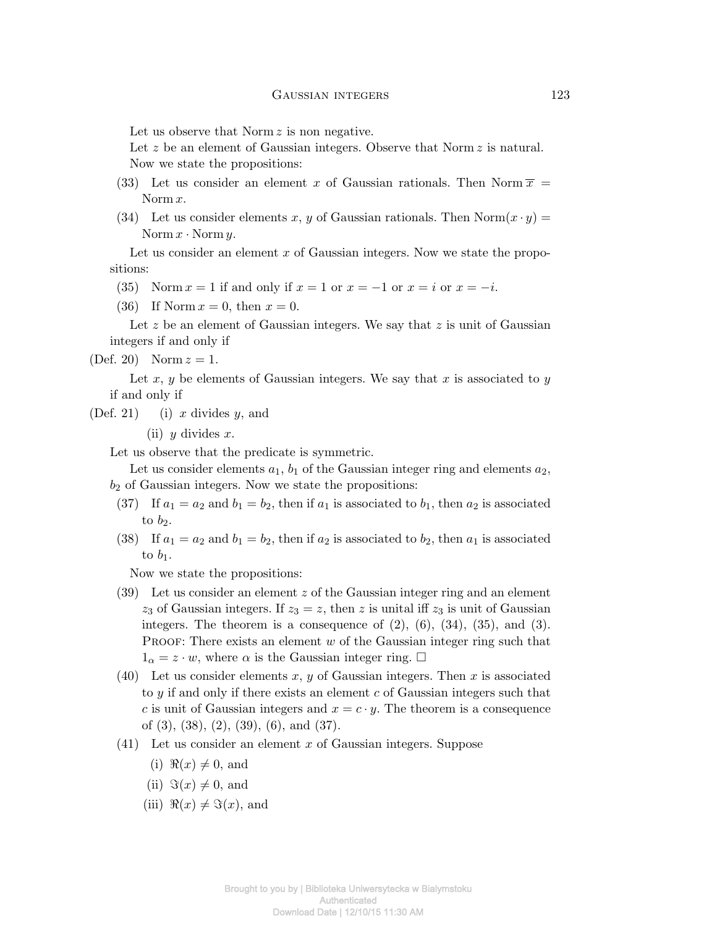Let us observe that Norm *z* is non negative.

Let z be an element of Gaussian integers. Observe that Norm z is natural. Now we state the propositions:

- (33) Let us consider an element x of Gaussian rationals. Then Norm  $\overline{x}$  = Norm *x*.
- (34) Let us consider elements *x*, *y* of Gaussian rationals. Then Norm $(x \cdot y)$  = Norm  $x \cdot$  Norm  $y$ .

Let us consider an element x of Gaussian integers. Now we state the propositions:

- (35) Norm  $x = 1$  if and only if  $x = 1$  or  $x = -1$  or  $x = i$  or  $x = -i$ .
- (36) If Norm  $x = 0$ , then  $x = 0$ .

Let z be an element of Gaussian integers. We say that z is unit of Gaussian integers if and only if

(Def. 20) Norm  $z = 1$ .

Let *x*, *y* be elements of Gaussian integers. We say that *x* is associated to *y* if and only if

(Def. 21) (i) *x* divides *y*, and

(ii) *y* divides *x*.

Let us observe that the predicate is symmetric.

Let us consider elements  $a_1$ ,  $b_1$  of the Gaussian integer ring and elements  $a_2$ , *b*<sup>2</sup> of Gaussian integers. Now we state the propositions:

- (37) If  $a_1 = a_2$  and  $b_1 = b_2$ , then if  $a_1$  is associated to  $b_1$ , then  $a_2$  is associated to  $b_2$ .
- (38) If  $a_1 = a_2$  and  $b_1 = b_2$ , then if  $a_2$  is associated to  $b_2$ , then  $a_1$  is associated to  $b_1$ .

Now we state the propositions:

- (39) Let us consider an element *z* of the Gaussian integer ring and an element  $z_3$  of Gaussian integers. If  $z_3 = z$ , then *z* is unital iff  $z_3$  is unit of Gaussian integers. The theorem is a consequence of  $(2)$ ,  $(6)$ ,  $(34)$ ,  $(35)$ , and  $(3)$ . PROOF: There exists an element *w* of the Gaussian integer ring such that  $1_\alpha = z \cdot w$ , where  $\alpha$  is the Gaussian integer ring.  $\Box$
- (40) Let us consider elements *x*, *y* of Gaussian integers. Then *x* is associated to *y* if and only if there exists an element *c* of Gaussian integers such that *c* is unit of Gaussian integers and  $x = c \cdot y$ . The theorem is a consequence of (3), (38), (2), (39), (6), and (37).
- (41) Let us consider an element *x* of Gaussian integers. Suppose
	- $(i)$   $\Re(x) \neq 0$ , and
	- $(ii)$   $\Im(x) \neq 0$ , and
	- (iii)  $\Re(x) \neq \Im(x)$ , and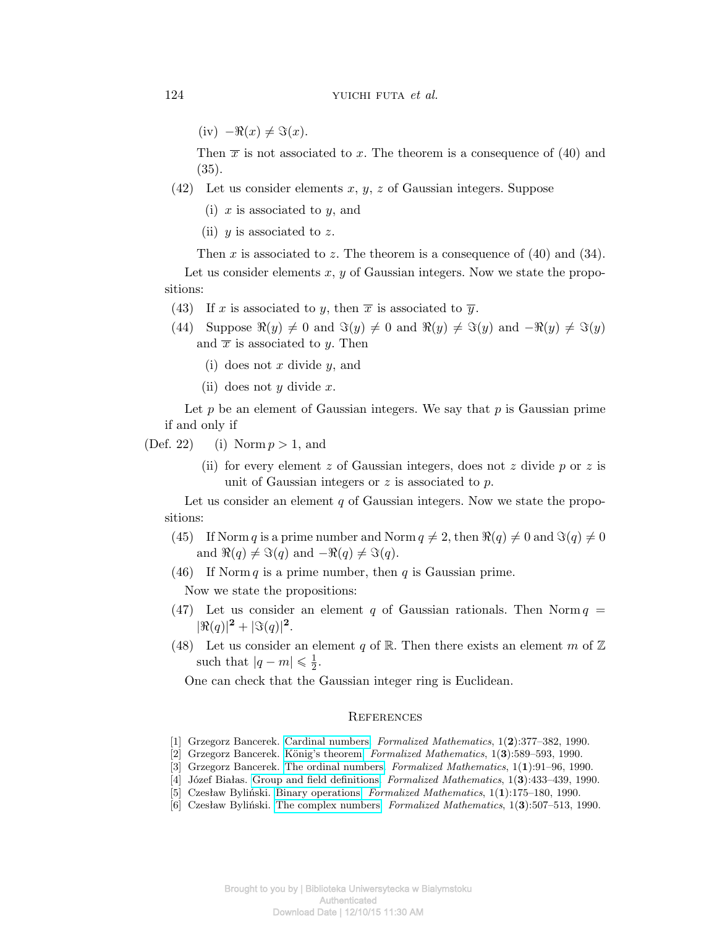$(iy) - \Re(x) \neq \Im(x)$ .

Then  $\bar{x}$  is not associated to *x*. The theorem is a consequence of (40) and (35).

- (42) Let us consider elements *x*, *y*, *z* of Gaussian integers. Suppose
	- (i) *x* is associated to *y*, and
	- (ii) *y* is associated to *z*.

Then *x* is associated to *z*. The theorem is a consequence of (40) and (34).

Let us consider elements *x*, *y* of Gaussian integers. Now we state the propositions:

- (43) If *x* is associated to *y*, then  $\overline{x}$  is associated to  $\overline{y}$ .
- (44) Suppose  $\Re(y) \neq 0$  and  $\Im(y) \neq 0$  and  $\Re(y) \neq \Im(y)$  and  $-\Re(y) \neq \Im(y)$ and  $\bar{x}$  is associated to *y*. Then
	- (i) does not *x* divide *y*, and
	- (ii) does not *y* divide *x*.

Let *p* be an element of Gaussian integers. We say that *p* is Gaussian prime if and only if

(Def. 22) (i) Norm *p >* 1, and

(ii) for every element *z* of Gaussian integers, does not *z* divide *p* or *z* is unit of Gaussian integers or *z* is associated to *p*.

Let us consider an element *q* of Gaussian integers. Now we state the propositions:

- (45) If Norm *q* is a prime number and Norm  $q \neq 2$ , then  $\Re(q) \neq 0$  and  $\Im(q) \neq 0$ and  $\Re(q) \neq \Im(q)$  and  $-\Re(q) \neq \Im(q)$ .
- (46) If Norm *q* is a prime number, then *q* is Gaussian prime.

Now we state the propositions:

- (47) Let us consider an element *q* of Gaussian rationals. Then Norm  $q =$  $|\Re(q)|^2 + |\Im(q)|^2$ .
- (48) Let us consider an element *q* of R. Then there exists an element *m* of  $\mathbb{Z}$ such that  $|q - m| \leq \frac{1}{2}$ .

One can check that the Gaussian integer ring is Euclidean.

#### **REFERENCES**

- [1] Grzegorz Bancerek. [Cardinal numbers.](http://fm.mizar.org/1990-1/pdf1-2/card_1.pdf) *Formalized Mathematics*, 1(**2**):377–382, 1990.
- [2] Grzegorz Bancerek. König's theorem. *Formalized Mathematics*, 1(3):589–593, 1990.
- [3] Grzegorz Bancerek. [The ordinal numbers.](http://fm.mizar.org/1990-1/pdf1-1/ordinal1.pdf) *Formalized Mathematics*, 1(**1**):91–96, 1990.
- [4] Józef Białas. [Group and field definitions.](http://fm.mizar.org/1990-1/pdf1-3/realset1.pdf) *Formalized Mathematics*, 1(**3**):433–439, 1990.
- [5] Czesław Byliński. [Binary operations.](http://fm.mizar.org/1990-1/pdf1-1/binop_1.pdf) *Formalized Mathematics*, 1(**1**):175–180, 1990.
- [6] Czesław Byliński. [The complex numbers.](http://fm.mizar.org/1990-1/pdf1-3/complex1.pdf) *Formalized Mathematics*, 1(**3**):507–513, 1990.

Brought to you by | Biblioteka Uniwersytecka w Bialymstoku Authenticated Download Date | 12/10/15 11:30 AM